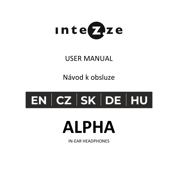

# USER MANUAL

Návod k obsluze

# $\mid$  EN  $\mid$  CZ  $\mid$  SK  $\mid$  DE  $\mid$  HU  $\mid$

# **ALPHA**

IN-EAR HEADPHONES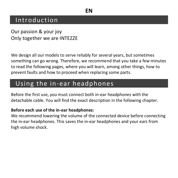## Introduction

Our passion & your joy Only together we are INTEZZE

We design all our models to serve reliably for several years, but sometimes something can go wrong. Therefore, we recommend that you take a few minutes to read the following pages, where you will learn, among other things, how to prevent faults and how to proceed when replacing some parts.

## Using the in-ear headphones

Before the first use, you must connect both in-ear headphones with the detachable cable. You will find the exact description in the following chapter.

#### **Before each use of the in-ear headphones:**

We recommend lowering the volume of the connected device before connecting the in-ear headphones. This saves the in-ear headphones and your ears from high volume shock.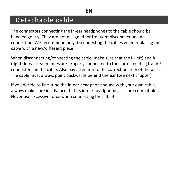## Detachable cable

The connectors connecting the in-ear headphones to the cable should be handled gently. They are not designed for frequent disconnection and connection. We recommend only disconnecting the cables when replacing the cable with a new/different piece.

When disconnecting/connecting the cable, make sure that the L (left) and R (right) in-ear headphones are properly connected to the corresponding L and R connectors on the cable. Also pay attention to the correct polarity of the pins. The cable must always point backwards behind the ear (see next chapter).

If you decide to fine-tune the in-ear headphone sound with your own cable, always make sure in advance that its in-ear headphone jacks are compatible. Never use excessive force when connecting the cable!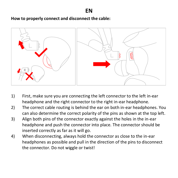**How to properly connect and disconnect the cable:**



- 1) First, make sure you are connecting the left connector to the left in-ear headphone and the right connector to the right in-ear headphone.
- 2) The correct cable routing is behind the ear on both in-ear headphones. You can also determine the correct polarity of the pins as shown at the top left.
- 3) Align both pins of the connector exactly against the holes in the in-ear headphone and push the connector into place. The connector should be inserted correctly as far as it will go.
- 4) When disconnecting, always hold the connector as close to the in-ear headphones as possible and pull in the direction of the pins to disconnect the connector. Do not wiggle or twist!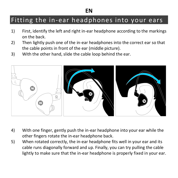## Fitting the in-ear headphones into your ears

- 1) First, identify the left and right in-ear headphone according to the markings on the back.
- 2) Then lightly push one of the in-ear headphones into the correct ear so that the cable points in front of the ear (middle picture).
- 3) With the other hand, slide the cable loop behind the ear.



- 4) With one finger, gently push the in-ear headphone into your ear while the other fingers rotate the in-ear headphone back.
- 5) When rotated correctly, the in-ear headphone fits well in your ear and its cable runs diagonally forward and up. Finally, you can try pulling the cable lightly to make sure that the in-ear headphone is properly fixed in your ear.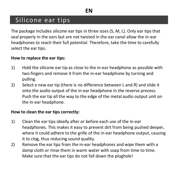## Silicone ear tips

The package includes silicone ear tips in three sizes (S, M, L). Only ear tips that seal properly in the ears but are not twisted in the ear canal allow the in-ear headphones to reach their full potential. Therefore, take the time to carefully select the ear tips.

#### **How to replace the ear tips:**

- 1) Hold the silicone ear tip as close to the in-ear headphone as possible with two fingers and remove it from the in-ear headphone by turning and pulling.
- 2) Select a new ear tip (there is no difference between L and R) and slide it onto the audio output of the in-ear headphone in the reverse process. Push the ear tip all the way to the edge of the metal audio output unit on the in-ear headphone.

#### **How to clean the ear tips correctly:**

- 1) Clean the ear tips ideally after or before each use of the in-ear headphones. This makes it easy to prevent dirt from being pushed deeper, where it could adhere to the grille of the in-ear headphone output, causing it to clog, thus reducing sound quality.
- 2) Remove the ear tips from the in-ear headphones and wipe them with a damp cloth or rinse them in warm water with soap from time to time. Make sure that the ear tips do not fall down the plughole!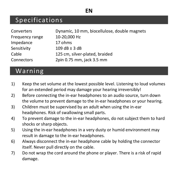## Specifications

| Converters      | Dynamic, 10 mm, biocellulose, double magnets |
|-----------------|----------------------------------------------|
| Frequency range | 10-20.000 Hz                                 |
| Impedance       | 17 ohms                                      |
| Sensitivity     | $109 dB \pm 3 dB$                            |
| Cable           | 125 cm. silver-plated, braided               |
| Connectors      | 2pin 0.75 mm, jack 3.5 mm                    |

## Warning

- 1) Keep the set volume at the lowest possible level. Listening to loud volumes for an extended period may damage your hearing irreversibly!
- 2) Before connecting the in-ear headphones to an audio source, turn down the volume to prevent damage to the in-ear headphones or your hearing.
- 3) Children must be supervised by an adult when using the in-ear headphones. Risk of swallowing small parts.
- 4) To prevent damage to the in-ear headphones, do not subject them to hard shocks or sharp objects.
- 5) Using the in-ear headphones in a very dusty or humid environment may result in damage to the in-ear headphones.
- 6) Always disconnect the in-ear headphone cable by holding the connector itself. Never pull directly on the cable.
- 7) Do not wrap the cord around the phone or player. There is a risk of rapid damage.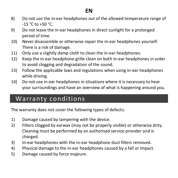- 8) Do not use the in-ear headphones out of the allowed temperature range of -15 °C to +50 °C.
- 9) Do not leave the in-ear headphones in direct sunlight for a prolonged period of time.
- 10) Never disassemble or otherwise repair the in-ear headphones yourself. There is a risk of damage.
- 11) Only use a slightly damp cloth to clean the in-ear headphones.
- 12) Keep the in-ear headphone grille clean on both in-ear headphones in order to avoid clogging and degradation of the sound.
- 13) Follow the applicable laws and regulations when using in-ear headphones while driving.
- 14) Do not use in-ear headphones in situations where it is necessary to hear your surroundings and have an overview of what is happening around you.

## Warranty conditions

The warranty does not cover the following types of defects:

- 1) Damage caused by tampering with the device.
- 2) Filters clogged by earwax (may not be properly visible) or otherwise dirty. Cleaning must be performed by an authorised service provider and is charged.
- 3) In-ear headphones with the in-ear headphone duct filters removed.
- 4) Physical damage to the in-ear headphones caused by a fall or impact.
- 5) Damage caused by force majeure.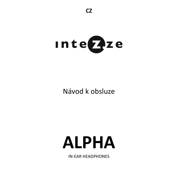

# Návod k obsluze

# **ALPHA**

IN-EAR HEADPHONES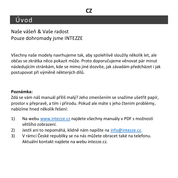## Úvod

Naše vášeň & Vaše radost Pouze dohromady jsme INTEZZE

Všechny naše modely navrhujeme tak, aby spolehlivě sloužily několik let, ale občas se zkrátka něco pokazit může. Proto doporučujeme věnovat pár minut následujícím stránkám, kde se mimo jiné dozvíte, jak závadám předcházet i jak postupovat při výměně některých dílů.

#### **Poznámka:**

Zdá se vám náš manuál příliš malý? Jeho zmenšením se snažíme ušetřit papír, prostor v přepravě, a tím i přírodu. Pokud ale máte s jeho čtením problémy, nabízíme hned několik řešení:

- 1) Na web[u www.intezze.cz](http://www.intezze.cz/) najdete všechny manuály v PDF s možností většího zobrazení.
- 2) Jestli ani to nepomáhá, klidně nám napište na [info@intezze.cz.](mailto:info@intezze.cz)
- 3) V rámci České republiky se na nás můžete obracet také na telefonu. Aktuální kontakt najdete na webu intezze.cz.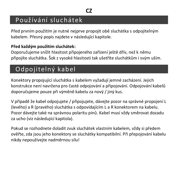## Používání sluchátek

Před prvním použitím je nutné nejprve propojit obě sluchátka s odpojitelným kabelem. Přesný popis najdete v následující kapitole.

#### **Před každým použitím sluchátek:**

Doporučujeme snížit hlasitost připojeného zařízení ještě dřív, než k němu připojíte sluchátka. Šok z vysoké hlasitosti tak ušetříte sluchátkům i svým uším.

# Odpojitelný kabel

Konektory propojující sluchátka s kabelem vyžadují jemné zacházení. Jejich konstrukce není navržena pro časté odpojování a připojování. Odpojování kabelů doporučujeme pouze při výměně kabelu za nový / jiný kus.

V případě že kabel odpojujete / připojujete, dávejte pozor na správné propojení L (levého) a R (pravého) sluchátka s odpovídajícím L a R konektorem na kabelu. Pozor dávejte také na správnou polaritu pinů. Kabel musí vždy směrovat dozadu za ucho (viz následující kapitola).

Pokud se rozhodnete doladit zvuk sluchátek vlastním kabelem, vždy si předem ověřte, zda jsou jeho konektory se sluchátky kompatibilní. Při přepojování kabelu nikdy nepoužívejte nadměrnou sílu!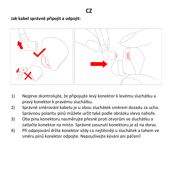#### **Jak kabel správně připojit a odpojit:**



- 1) Nejprve zkontrolujte, že připojujte levý konektor k levému sluchátku a pravý konektor k pravému sluchátku.
- 2) Správné směrování kabelu je u obou sluchátek směrem dozadu za ucho. Správnou polaritu pinů můžete určit také podle obrázku vlevo nahoře.
- 3) Oba piny konektoru nasměrujte přesně proti otvorům ve sluchátku a zatlačte konektor na místo. Správné zasunutí konektoru je až na doraz.
- 4) Při odpojování držte konektor vždy co nejtěsněji u sluchátek a tahem ve směru pinů konektor odpojte. Nepoužívejte kývání ani páčení!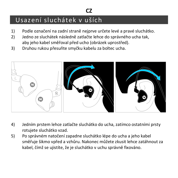# Usazení sluchátek v uších

1) Podle označení na zadní straně nejprve určete levé a pravé sluchátko.

**CZ**

- 2) Jedno ze sluchátek následně zatlačte lehce do správného ucha tak, aby jeho kabel směřoval před ucho (obrázek uprostřed).
- 3) Druhou rukou přesuňte smyčku kabelu za boltec ucha.



- 4) Jedním prstem lehce zatlačte sluchátko do ucha, zatímco ostatními prsty rotujete sluchátko vzad.
- 5) Po správném natočení zapadne sluchátko lépe do ucha a jeho kabel směřuje šikmo vpřed a vzhůru. Nakonec můžete zkusit lehce zatáhnout za kabel, čímž se ujistíte, že je sluchátko v uchu správně fixováno.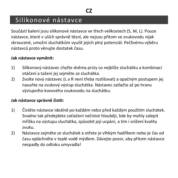## Silikonové nástavce

Součástí balení jsou silikonové nástavce ve třech velikostech (S, M, L). Pouze nástavce, které v uších správně těsní, ale nejsou přitom ve zvukovodu nijak zkroucené, umožní sluchátkům využít jejich plný potenciál. Pečlivému výběru nástavců proto věnujte dostatek času.

#### **Jak nástavce vyměnit:**

- 1) Silikonový nástavec chyťte dvěma prsty co nejblíže sluchátku a kombinací otáčení a tažení jej sejměte ze sluchátka.
- 2) Zvolte nový nástavec (L a R není třeba rozlišovat) a opačným postupem jej nasuňte na zvukový výstup sluchátka. Nástavec zatlačte až po hranu výstupního kovového zvukovodu na sluchátku.

#### **Jak nástavce správně čistit:**

- 1) Čistěte nástavce ideálně po každém nebo před každým použitím sluchátek. Snadno tak předejdete zatlačení nečistot hlouběji, kde by mohly zalepit mřížku na výstupu sluchátka, způsobit její ucpání, a tím i snížení kvality zvuku.
- 2) Nástavce sejměte ze sluchátek a otřete je vlhkým hadříkem nebo je čas od času opláchněte v teplé vodě mýdlem. Dávejte pozor, aby přitom nástavce nespadly do odtoku umyvadla!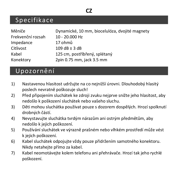## **CZ**

## Specifikace

| Měniče            | Dynamické, 10 mm, biocelulóza, dvojité magnety |
|-------------------|------------------------------------------------|
| Frekvenční rozsah | 10 - 20.000 Hz                                 |
| Impedance         | 17 ohmů                                        |
| Citlivost         | $109 dB \pm 3 dB$                              |
| Kabel             | 125 cm, postříbřený, splétaný                  |
| Konektory         | 2pin 0.75 mm, jack 3.5 mm                      |

## Upozornění

- 1) Nastavenou hlasitost udržujte na co nejnižší úrovni. Dlouhodobý hlasitý poslech nevratně poškozuje sluch!
- 2) Před připojením sluchátek ke zdroji zvuku nejprve snižte jeho hlasitost, aby nedošlo k poškození sluchátek nebo vašeho sluchu.
- 3) Děti mohou sluchátka používat pouze s dozorem dospělých. Hrozí spolknutí drobných částí.
- 4) Nevystavujte sluchátka tvrdým nárazům ani ostrým předmětům, aby nedošlo k jejich poškození.
- 5) Používání sluchátek ve výrazně prašném nebo vlhkém prostředí může vést k jejich poškození.
- 6) Kabel sluchátek odpojujte vždy pouze přidržením samotného konektoru. Nikdy netahejte přímo za kabel.
- 7) Kabel neomotávejte kolem telefonu ani přehrávače. Hrozí tak jeho rychlé poškození.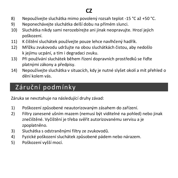## **CZ**

- 8) Nepoužívejte sluchátka mimo povolený rozsah teplot -15 °C až +50 °C.
- 9) Neponechávejte sluchátka delší dobu na přímém slunci.
- 10) Sluchátka nikdy sami nerozebírejte ani jinak neopravujte. Hrozí jejich poškození.
- 11) K čištění sluchátek používejte pouze lehce navlhčený hadřík.
- 12) Mřížku zvukovodu udržujte na obou sluchátkách čistou, aby nedošlo k jejímu ucpání, a tím i degradaci zvuku.
- 13) Při používání sluchátek během řízení dopravních prostředků se řiďte platnými zákony a předpisy.
- 14) Nepoužívejte sluchátka v situacích, kdy je nutné slyšet okolí a mít přehled o dění kolem vás.

# Záruční podmínky

Záruka se nevztahuje na následující druhy závad:

- 1) Poškození způsobené neautorizovaným zásahem do zařízení.
- 2) Filtry zanesené ušním mazem (nemusí být viditelné na pohled) nebo jinak znečištěné. Vyčištění je třeba svěřit autorizovanému servisu a je zpoplatněno.
- 3) Sluchátka s odstraněnými filtry ze zvukovodů.
- 4) Fyzické poškození sluchátek způsobené pádem nebo nárazem.
- 5) Poškození vyšší mocí.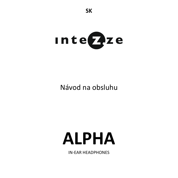

# Návod na obsluhu

# **ALPHA**

IN-EAR HEADPHONES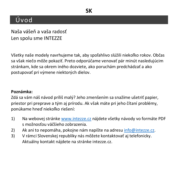## Úvod

Naša vášeň a vaša radosť Len spolu sme INTEZZE

Všetky naše modely navrhujeme tak, aby spoľahlivo slúžili niekoľko rokov. Občas sa však niečo môže pokaziť. Preto odporúčame venovať pár minút nasledujúcim stránkam, kde sa okrem iného dozviete, ako poruchám predchádzať a ako postupovať pri výmene niektorých dielov.

### **Poznámka:**

Zdá sa vám náš návod príliš malý? Jeho zmenšením sa snažíme ušetriť papier, priestor pri preprave a tým aj prírodu. Ak však máte pri jeho čítaní problémy, ponúkame hneď niekoľko riešení:

- 1) Na webovej stránke [www.intezze.cz](http://www.intezze.cz/) nájdete všetky návody vo formáte PDF s možnosťou väčšieho zobrazenia.
- 2) Ak ani to nepomáha, pokojne nám napíšte na adresu [info@intezze.cz.](mailto:info@intezze.cz)
- 3) V rámci Slovenskej republiky nás môžete kontaktovať aj telefonicky. Aktuálny kontakt nájdete na stránke intezze.cz.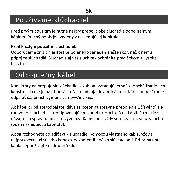## Používanie slúchadiel

Pred prvým použitím je nutné najprv prepojiť obe slúchadlá odpojiteľným káblom. Presný popis je uvedený v nasledujúcej kapitole.

#### **Pred každým použitím slúchadiel:**

Odporúčame znížiť hlasitosť pripojeného zariadenia ešte skôr, než k nemu pripojíte slúchadlá. Slúchadlá aj váš sluch tak ochránite pred šokom z vysokej hlasitosti.

# Odpojiteľný kábel

Konektory na prepojenie slúchadiel s káblom vyžadujú jemné zaobchádzanie. Ich konštrukcia nie je navrhnutá na časté odpájanie a pripájanie. Káble odporúčame odpájať iba pri ich výmene za nový/iný kus.

Ak kábel pripájate/odpájate, dávajte pozor na správne prepojenie L (ľavého) a R (pravého) slúchadla so zodpovedajúcim konektorom L a R na kábli. Pozor tiež dávajte na správnu polaritu vývodov. Kábel musí vždy smerovať dozadu za ucho (pozri nasledujúcu kapitolu).

Ak sa rozhodnete doladiť zvuk slúchadiel pomocou vlastného kábla, vždy si najprv overte, či sú jeho konektory kompatibilné so slúchadlami. Pri pripájaní kábla nepoužívajte nadmernú silu!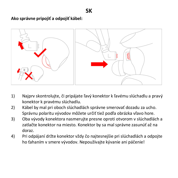

- 1) Najprv skontrolujte, či pripájate ľavý konektor k ľavému slúchadlu a pravý konektor k pravému slúchadlu.
- 2) Kábel by mal pri oboch slúchadlách správne smerovať dozadu za ucho. Správnu polaritu vývodov môžete určiť tiež podľa obrázka vľavo hore.
- 3) Oba vývody konektora nasmerujte presne oproti otvorom v slúchadlách a zatlačte konektor na miesto. Konektor by sa mal správne zasunúť až na doraz.
- 4) Pri odpájaní držte konektor vždy čo najtesnejšie pri slúchadlách a odpojte ho ťahaním v smere vývodov. Nepoužívajte kývanie ani páčenie!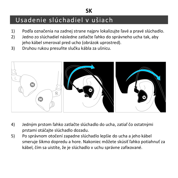# Usadenie slúchadiel v ušiach

1) Podľa označenia na zadnej strane najprv lokalizujte ľavé a pravé slúchadlo.

**SK**

- 2) Jedno zo slúchadiel následne zatlačte ľahko do správneho ucha tak, aby jeho kábel smeroval pred ucho (obrázok uprostred).
- 3) Druhou rukou presuňte slučku kábla za ušnicu.



- 4) Jedným prstom ľahko zatlačte slúchadlo do ucha, zatiaľ čo ostatnými prstami otáčajte slúchadlo dozadu.
- 5) Po správnom otočení zapadne slúchadlo lepšie do ucha a jeho kábel smeruje šikmo dopredu a hore. Nakoniec môžete skúsiť ľahko potiahnuť za kábel, čím sa uistíte, že je slúchadlo v uchu správne zafixované.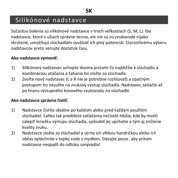## Silikónové nadstavce

Súčasťou balenia sú silikónové nadstavce v troch veľkostiach (S, M, L). Iba nadstavce, ktoré v ušiach správne tesnia, ale nie sú vo zvukovode nijako skrútené, umožňujú slúchadlám využívať ich plný potenciál. Starostlivému výberu nadstavcov preto venujte dostatok času.

#### **Ako nadstavce vymeniť:**

- 1) Silikónový nadstavec uchopte dvoma prstami čo najbližšie k slúchadlu a kombináciou otáčania a ťahania ho zložte zo slúchadla.
- 2) Zvoľte nový nadstavec (L a R nie je potrebné rozlišovať) a opačným postupom ho nasuňte na zvukový výstup slúchadla. Nadstavec zatlačte až po hranu výstupného kovového zvukovodu na slúchadle.

#### **Ako nadstavce správne čistiť:**

- 1) Nadstavce čistite ideálne po každom alebo pred každým použitím slúchadiel. Ľahko tak predídete zatlačeniu nečistôt hlbšie, kde by mohli zalepiť mriežku výstupu slúchadla, spôsobiť jej upchatie a tým aj zníženie kvality zvuku.
- 2) Nadstavce zložte zo slúchadiel a utrite ich vlhkou handričkou alebo ich občas opláchnite v teplej vode s mydlom. Dávajte pozor, aby pritom nadstavce nespadli do odtoku umývadla!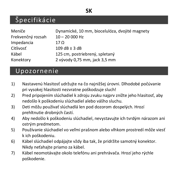### **SK**

## Špecifikácie

| Meniče            | Dynamické, 10 mm, biocelulóza, dvojité magnety |
|-------------------|------------------------------------------------|
| Frekvenčný rozsah | $10 - 20000$ Hz                                |
| Impedancia        | 17 O                                           |
| Citlivosť         | $109 dB \pm 3 dB$                              |
| Kábel             | 125 cm. postriebrený, spletaný                 |
| Konektory         | 2 vývody 0,75 mm, jack 3,5 mm                  |

## Upozornenie

- 1) Nastavenú hlasitosť udržujte na čo najnižšej úrovni. Dlhodobé počúvanie pri vysokej hlasitosti nezvratne poškodzuje sluch!
- 2) Pred pripojením slúchadiel k zdroju zvuku najprv znížte jeho hlasitosť, aby nedošlo k poškodeniu slúchadiel alebo vášho sluchu.
- 3) Deti môžu používať slúchadlá len pod dozorom dospelých. Hrozí prehltnutie drobných častí.
- 4) Aby nedošlo k poškodeniu slúchadiel, nevystavujte ich tvrdým nárazom ani ostrým predmetom.
- 5) Používanie slúchadiel vo veľmi prašnom alebo vlhkom prostredí môže viesť k ich poškodeniu.
- 6) Kábel slúchadiel odpájajte vždy iba tak, že pridržíte samotný konektor. Nikdy neťahajte priamo za kábel.
- 7) Kábel neomotávajte okolo telefónu ani prehrávača. Hrozí jeho rýchle poškodenie.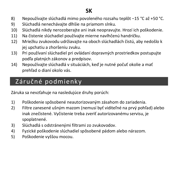## **SK**

- 8) Nepoužívajte slúchadlá mimo povoleného rozsahu teplôt −15 °C až +50 °C.
- 9) Slúchadlá nenechávajte dlhšie na priamom slnku.
- 10) Slúchadlá nikdy nerozoberajte ani inak neopravujte. Hrozí ich poškodenie.
- 11) Na čistenie slúchadiel používajte mierne navlhčenú handričku.
- 12) Mriežku zvukovodu udržiavajte na oboch slúchadlách čistú, aby nedošlo k jej upchatiu a zhoršeniu zvuku.
- 13) Pri používaní slúchadiel pri ovládaní dopravných prostriedkov postupujte podľa platných zákonov a predpisov.
- 14) Nepoužívajte slúchadlá v situáciách, keď je nutné počuť okolie a mať prehľad o dianí okolo vás.

# Záručné podmienky

Záruka sa nevzťahuje na nasledujúce druhy porúch:

- 1) Poškodenie spôsobené neautorizovaným zásahom do zariadenia.
- 2) Filtre zanesené ušným mazom (nemusí byť viditeľné na prvý pohľad) alebo inak znečistené. Vyčistenie treba zveriť autorizovanému servisu, je spoplatnené.
- 3) Slúchadlá s odstránenými filtrami zo zvukovodov.
- 4) Fyzické poškodenie slúchadiel spôsobené pádom alebo nárazom.
- 5) Poškodenie vyššou mocou.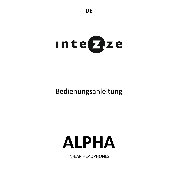

# Bedienungsanleitung

# **ALPHA**

IN-EAR HEADPHONES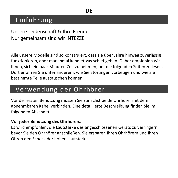## **Einführung**

Unsere Leidenschaft & Ihre Freude Nur gemeinsam sind wir INTEZZE

Alle unsere Modelle sind so konstruiert, dass sie über Jahre hinweg zuverlässig funktionieren, aber manchmal kann etwas schief gehen. Daher empfehlen wir Ihnen, sich ein paar Minuten Zeit zu nehmen, um die folgenden Seiten zu lesen. Dort erfahren Sie unter anderem, wie Sie Störungen vorbeugen und wie Sie bestimmte Teile austauschen können.

## Verwendung der Ohrhörer

Vor der ersten Benutzung müssen Sie zunächst beide Ohrhörer mit dem abnehmbaren Kabel verbinden. Eine detaillierte Beschreibung finden Sie im folgenden Abschnitt.

#### **Vor jeder Benutzung des Ohrhörers:**

Es wird empfohlen, die Lautstärke des angeschlossenen Geräts zu verringern, bevor Sie den Ohrhörer anschließen. Sie ersparen Ihren Ohrhörern und Ihren Ohren den Schock der hohen Lautstärke.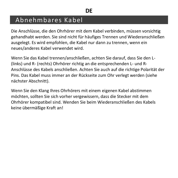## Abnehmbares Kabel

Die Anschlüsse, die den Ohrhörer mit dem Kabel verbinden, müssen vorsichtig gehandhabt werden. Sie sind nicht für häufiges Trennen und Wiederanschließen ausgelegt. Es wird empfohlen, die Kabel nur dann zu trennen, wenn ein neues/anderes Kabel verwendet wird.

Wenn Sie das Kabel trennen/anschließen, achten Sie darauf, dass Sie den L- (links) und R- (rechts) Ohrhörer richtig an die entsprechenden L- und R-Anschlüsse des Kabels anschließen. Achten Sie auch auf die richtige Polarität der Pins. Das Kabel muss immer an der Rückseite zum Ohr verlegt werden (siehe nächster Abschnitt).

Wenn Sie den Klang Ihres Ohrhörers mit einem eigenen Kabel abstimmen möchten, sollten Sie sich vorher vergewissern, dass die Stecker mit dem Ohrhörer kompatibel sind. Wenden Sie beim Wiederanschließen des Kabels keine übermäßige Kraft an!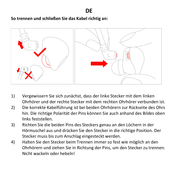**So trennen und schließen Sie das Kabel richtig an:**



- 1) Vergewissern Sie sich zunächst, dass der linke Stecker mit dem linken Ohrhörer und der rechte Stecker mit dem rechten Ohrhörer verbunden ist.
- 2) Die korrekte Kabelführung ist bei beiden Ohrhörern zur Rückseite des Ohrs hin. Die richtige Polarität der Pins können Sie auch anhand des Bildes oben links feststellen.
- 3) Richten Sie die beiden Pins des Steckers genau an den Löchern in der Hörmuschel aus und drücken Sie den Stecker in die richtige Position. Der Stecker muss bis zum Anschlag eingesteckt werden.
- 4) Halten Sie den Stecker beim Trennen immer so fest wie möglich an den Ohrhörern und ziehen Sie in Richtung der Pins, um den Stecker zu trennen. Nicht wackeln oder hebeln!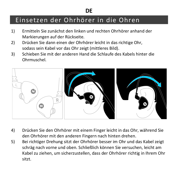# Einsetzen der Ohrhörer in die Ohren

- 1) Ermitteln Sie zunächst den linken und rechten Ohrhörer anhand der Markierungen auf der Rückseite.
- 2) Drücken Sie dann einen der Ohrhörer leicht in das richtige Ohr, sodass sein Kabel vor das Ohr zeigt (mittleres Bild).
- 3) Schieben Sie mit der anderen Hand die Schlaufe des Kabels hinter die Ohrmuschel.



- 4) Drücken Sie den Ohrhörer mit einem Finger leicht in das Ohr, während Sie den Ohrhörer mit den anderen Fingern nach hinten drehen.
- 5) Bei richtiger Drehung sitzt der Ohrhörer besser im Ohr und das Kabel zeigt schräg nach vorne und oben. Schließlich können Sie versuchen, leicht am Kabel zu ziehen, um sicherzustellen, dass der Ohrhörer richtig in Ihrem Ohr sitzt.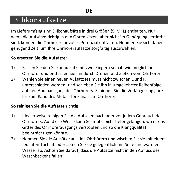## Silikonaufsätze

Im Lieferumfang sind Silikonaufsätze in drei Größen (S, M, L) enthalten. Nur wenn die Aufsätze richtig in den Ohren sitzen, aber nicht im Gehörgang verdreht sind, können die Ohrhörer ihr volles Potenzial entfalten. Nehmen Sie sich daher genügend Zeit, um Ihre Ohrhöreraufsätze sorgfältig auszuwählen.

#### **So ersetzen Sie die Aufsätze:**

- 1) Fassen Sie den Silikonaufsatz mit zwei Fingern so nah wie möglich am Ohrhörer und entfernen Sie ihn durch Drehen und Ziehen vom Ohrhörer.
- 2) Wählen Sie einen neuen Aufsatz (es muss nicht zwischen L und R unterschieden werden) und schieben Sie ihn in umgekehrter Reihenfolge auf den Audioausgang des Ohrhörers. Schieben Sie die Verlängerung ganz bis zum Rand des Metall-Tonkanals am Ohrhörer.

#### **So reinigen Sie die Aufsätze richtig:**

- 1) Idealerweise reinigen Sie die Aufsätze nach oder vor jedem Gebrauch des Ohrhörers. Auf diese Weise kann Schmutz leicht tiefer gelangen, wo er das Gitter des Ohrhörerausgangs verstopfen und so die Klangqualität beeinträchtigen könnte.
- 2) Nehmen Sie die Aufsätze aus den Ohrhörern und wischen Sie sie mit einem feuchten Tuch ab oder spülen Sie sie gelegentlich mit Seife und warmem Wasser ab. Achten Sie darauf, dass die Aufsätze nicht in den Abfluss des Waschbeckens fallen!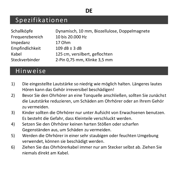## Spezifikationen

| Schallköpfe     | Dynamisch, 10 mm. Biozellulose, Doppelmagnete |
|-----------------|-----------------------------------------------|
| Frequenzbereich | 10 bis 20,000 Hz                              |
| Impedanz        | 17 Ohm                                        |
| Empfindlichkeit | $109 dB \pm 3 dB$                             |
| Kabel           | 125 cm, versilbert, geflochten                |
| Steckverbinder  | 2-Pin 0,75 mm, Klinke 3,5 mm                  |

## Hinweise

- 1) Die eingestellte Lautstärke so niedrig wie möglich halten. Längeres lautes Hören kann das Gehör irreversibel beschädigen!
- 2) Bevor Sie den Ohrhörer an eine Tonquelle anschließen, sollten Sie zunächst die Lautstärke reduzieren, um Schäden am Ohrhörer oder an Ihrem Gehör zu vermeiden.
- 3) Kinder sollten die Ohrhörer nur unter Aufsicht von Erwachsenen benutzen. Es besteht die Gefahr, dass Kleinteile verschluckt werden.
- 4) Setzen Sie den Ohrhörer keinen harten Stößen oder scharfen Gegenständen aus, um Schäden zu vermeiden.
- 5) Werden die Ohrhörer in einer sehr staubigen oder feuchten Umgebung verwendet, können sie beschädigt werden.
- 6) Ziehen Sie das Ohrhörerkabel immer nur am Stecker selbst ab. Ziehen Sie niemals direkt am Kabel.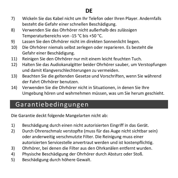- 7) Wickeln Sie das Kabel nicht um Ihr Telefon oder Ihren Player. Andernfalls besteht die Gefahr einer schnellen Beschädigung.
- 8) Verwenden Sie das Ohrhörer nicht außerhalb des zulässigen Temperaturbereichs von -15 °C bis +50 °C.
- 9) Lassen Sie den Ohrhörer nicht im direkten Sonnenlicht liegen.
- 10) Die Ohrhörer niemals selbst zerlegen oder reparieren. Es besteht die Gefahr einer Beschädigung.
- 11) Reinigen Sie den Ohrhörer nur mit einem leicht feuchten Tuch.
- 12) Halten Sie das Audiokanalgitter beider Ohrhörer sauber, um Verstopfungen und damit Klangverschlechterungen zu vermeiden.
- 13) Beachten Sie die geltenden Gesetze und Vorschriften, wenn Sie während der Fahrt Ohrhörer benutzen.
- 14) Verwenden Sie die Ohrhörer nicht in Situationen, in denen Sie Ihre Umgebung hören und wahrnehmen müssen, was um Sie herum geschieht.

## Garantiebedingungen

Die Garantie deckt folgende Mangelarten nicht ab:

- 1) Beschädigung durch einen nicht autorisierten Eingriff in das Gerät.
- 2) Durch Ohrenschmalz verstopfte (muss für das Auge nicht sichtbar sein) oder anderweitig verschmutzte Filter. Die Reinigung muss einer autorisierten Servicestelle anvertraut werden und ist kostenpflichtig.
- 3) Ohrhörer, bei denen die Filter aus den Ohrkanälen entfernt wurden.
- 4) Physische Beschädigung der Ohrhörer durch Absturz oder Stoß.
- 5) Beschädigung durch höhere Gewalt.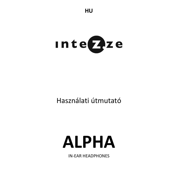

# Használati útmutató

# **ALPHA**

IN-EAR HEADPHONES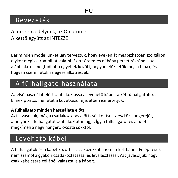## Bevezetés

A mi szenvedélyünk, az Ön öröme A kettő együtt az INTEZZE

Bár minden modellünket úgy tervezzük, hogy éveken át megbízhatóan szolgáljon, olykor mégis elromolhat valami. Ezért érdemes néhány percet rászánnia az alábbiakra – megtudhatja egyebek között, hogyan előzhetők meg a hibák, és hogyan cserélhetők az egyes alkatrészek.

## A fülhallgató használata

Az első használat előtt csatlakoztassa a levehető kábelt a két fülhallgatóhoz. Ennek pontos menetét a következő fejezetben ismertetjük.

### **A fülhallgató minden használata előtt:**

Azt javasoljuk, még a csatlakoztatás előtt csökkentse az eszköz hangerejét, amelyhez a fülhallgatót csatlakoztatni fogja. Így a fülhallgatót és a fülét is megkíméli a nagy hangerő okozta sokktól.

## Levehető kábel

A fülhallgatók és a kábel közötti csatlakozókkal finoman kell bánni. Felépítésük nem számol a gyakori csatlakoztatással és leválasztással. Azt javasoljuk, hogy csak kábelcsere céljából válassza le a kábelt.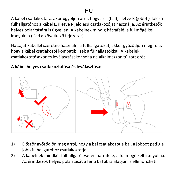## **HU**

A kábel csatlakoztatásakor ügyeljen arra, hogy az L (bal), illetve R (jobb) jelölésű fülhallgatóhoz a kábel L, illetve R jelölésű csatlakozóját használja. Az érintkezők helyes polaritására is ügyeljen. A kábelnek mindig hátrafelé, a fül mögé kell irányulnia (lásd a következő fejezetet).

Ha saját kábellel szeretné használni a fülhallgatókat, akkor győződjön meg róla, hogy a kábel csatlakozói kompatibilisek a fülhallgatókkal. A kábelek csatlakoztatásakor és leválasztásakor soha ne alkalmazzon túlzott erőt!

#### **A kábel helyes csatlakoztatása és leválasztása:**



- 1) Először győződjön meg arról, hogy a bal csatlakozót a bal, a jobbot pedig a jobb fülhallgatóhoz csatlakoztatja.
- 2) A kábelnek mindkét fülhallgató esetén hátrafelé, a fül mögé kell irányulnia. Az érintkezők helyes polaritását a fenti bal ábra alapján is ellenőrizheti.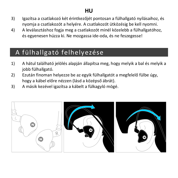## **HU**

- 3) Igazítsa a csatlakozó két érintkezőjét pontosan a fülhallgató nyílásaihoz, és nyomja a csatlakozót a helyére. A csatlakozót ütközésig be kell nyomni.
- 4) A leválasztáshoz fogja meg a csatlakozót minél közelebb a fülhallgatóhoz, és egyenesen húzza ki. Ne mozgassa ide-oda, és ne feszegesse!

## A fülhallgató felhelyezése

- 1) A hátul található jelölés alapján állapítsa meg, hogy melyik a bal és melyik a jobb fülhallgató.
- 2) Ezután finoman helyezze be az egyik fülhallgatót a megfelelő fülbe úgy, hogy a kábel előre nézzen (lásd a középső ábrát).
- 3) A másik kezével igazítsa a kábelt a fülkagyló mögé.

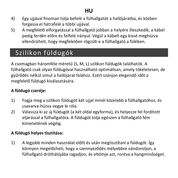- 4) Egy ujjával finoman tolja befelé a fülhallgatót a hallójáratba, és közben forgassa el hátrafelé a többi ujjával.
- 5) A megfelelő elforgatással a fülhallgató jobban a helyére illeszkedik, a kábel pedig ferdén előre és felfelé irányul. Végül a kábelt egy kissé meghúzva ellenőrizheti, hogy megfelelően rögzült-e a fülhallgató a fülében.

# Szilikon füldugók

A csomagban háromféle méretű (S, M, L) szilikon füldugók találhatók. A fülhallgató csak olyan füldugóval használható optimálisan, amely tökéletesen, de gyűrődés nélkül simul a hallójárat falához. Ezért szánjon elegendő időt a megfelelő füldugó kiválasztására.

#### **A füldugó cseréje:**

- 1) Fogja meg a szilikon füldugót két ujjal minél közelebb a fülhallgatóhoz, és csavarva-húzva vegye le róla.
- 2) Válassza ki az új füldugót (a két oldal egyforma), és helyezze fel fordított eljárással a fülhallgatóra. A füldugót tolja egészen a fülhallgató fém kimenetének végéig.

#### **A füldugó helyes tisztítása:**

1) A legjobb minden használat előtt és után megtisztítani a füldugót. Így könnyen megelőzheti, hogy a szennyeződés mélyebbre vándoroljon, a fülhallgató dróthálójába ragadjon, és eltömje azt, rontva a hangminőséget.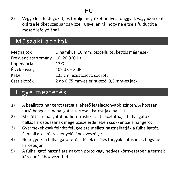2) Vegye le a füldugókat, és törölje meg őket nedves ronggyal, vagy időnként öblítse le őket szappanos vízzel. Ügyeljen rá, hogy ne ejtse a füldugót a mosdó lefolyójába!

## Műszaki adatok

| Meghaitók           | Dinamikus, 10 mm, biocellulóz, kettős mágnesek |
|---------------------|------------------------------------------------|
| Frekvenciatartomány | 10-20 000 Hz                                   |
| Impedancia          | 17 O                                           |
| Érzékenység         | $109 dB \pm 3 dB$                              |
| Kábel               | 125 cm, ezüstözött, sodrott                    |
| Csatlakozók         | 2 db 0.75 mm-es érintkező. 3.5 mm-es jack      |

## Figyelmeztetés

- 1) A beállított hangerőt tartsa a lehető legalacsonyabb szinten. A hosszan tartó hangos zenehallgatás tartósan károsítja a hallást!
- 2) Mielőtt a fülhallgatót audioforráshoz csatlakoztatná, a fülhallgató és a hallás károsodásának megelőzése érdekében csökkentse a hangerőt.
- 3) Gyermekek csak felnőtt felügyelete mellett használhatják a fülhallgatót. Fennáll a kis részek lenyelésének veszélye.
- 4) Ne tegye ki a fülhallgatót erős ütések és éles tárgyak hatásának, hogy ne károsodjon.
- 5) A fülhallgató használata nagyon poros vagy nedves környezetben a termék károsodásához vezethet.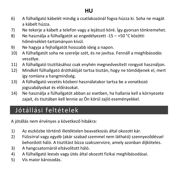## **HU**

- 6) A fülhallgató kábelét mindig a csatlakozónál fogva húzza ki. Soha ne magát a kábelt húzza.
- 7) Ne tekerje a kábelt a telefon vagy a lejátszó köré. Így gyorsan tönkremehet.
- 8) Ne használja a fülhallgatót az engedélyezett -15 +50 °C közötti hőmérséklet-tartományon kívül.
- 9) Ne hagyja a fejhallgatót hosszabb ideig a napon.
- 10) A fülhallgatót soha ne szerelje szét, és ne javítsa. Fennáll a meghibásodás veszélye.
- 11) A fülhallgató tisztításához csak enyhén megnedvesített rongyot használjon.
- 12) Mindkét fülhallgató dróthálóját tartsa tisztán, hogy ne tömődjenek el, mert így romlana a hangminőség.
- 13) A fülhallgató vezetés közbeni használatakor tartsa be a vonatkozó jogszabályokat és előírásokat.
- 14) Ne használja a fülhallgatót abban az esetben, ha hallania kell a környezete zajait, és tisztában kell lennie az Ön körül zajló eseményekkel.

# Jótállási feltételek

A jótállás nem érvényes a következő hibákra:

- 1) Az eszközbe történő illetéktelen beavatkozás által okozott kár.
- 2) Fülzsírral vagy egyéb (akár szabad szemmel nem látható) szennyeződéssel behordott háló. A tisztítást bízza szakszervizre, amely azonban díjköteles.
- 3) A hangcsatornáról eltávolított háló.
- 4) A fülhallgató leesés vagy ütés által okozott fizikai meghibásodásai.
- 5) Vis maior károsodás.